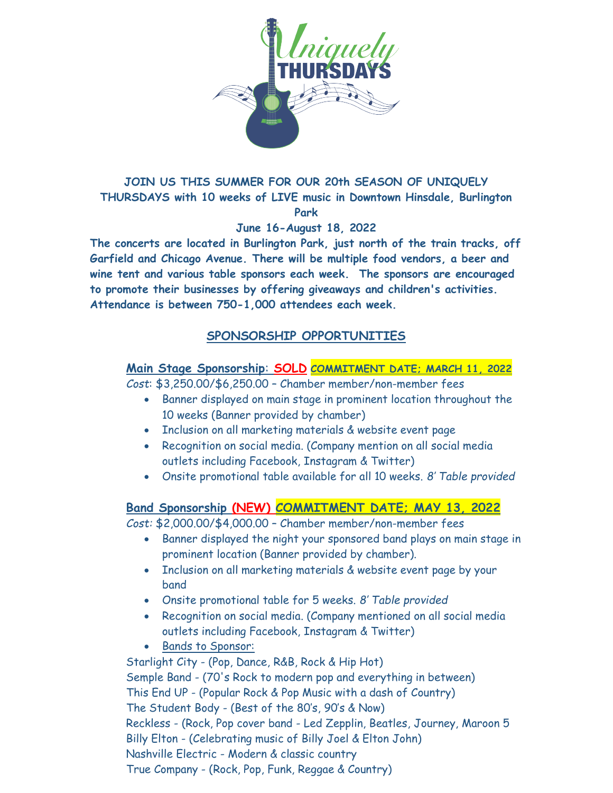

#### JOIN US THIS SUMMER FOR OUR 20th SEASON OF UNIQUELY THURSDAYS with 10 weeks of LIVE music in Downtown Hinsdale, Burlington Park

#### June 16-August 18, 2022

The concerts are located in Burlington Park, just north of the train tracks, off Garfield and Chicago Avenue. There will be multiple food vendors, a beer and wine tent and various table sponsors each week. The sponsors are encouraged to promote their businesses by offering giveaways and children's activities. Attendance is between 750-1,000 attendees each week.

# SPONSORSHIP OPPORTUNITIES

#### Main Stage Sponsorship: SOLD COMMITMENT DATE; MARCH 11, 2022

Cost: \$3,250.00/\$6,250.00 – Chamber member/non-member fees

- Banner displayed on main stage in prominent location throughout the 10 weeks (Banner provided by chamber)
- Inclusion on all marketing materials & website event page
- Recognition on social media. (Company mention on all social media outlets including Facebook, Instagram & Twitter)
- Onsite promotional table available for all 10 weeks. 8' Table provided

## Band Sponsorship (NEW) COMMITMENT DATE; MAY 13, 2022

Cost: \$2,000.00/\$4,000.00 – Chamber member/non-member fees

- Banner displayed the night your sponsored band plays on main stage in prominent location (Banner provided by chamber).
- Inclusion on all marketing materials & website event page by your band
- Onsite promotional table for 5 weeks. 8' Table provided
- Recognition on social media. (Company mentioned on all social media outlets including Facebook, Instagram & Twitter)
- Bands to Sponsor:

Starlight City - (Pop, Dance, R&B, Rock & Hip Hot) Semple Band - (70's Rock to modern pop and everything in between) This End UP - (Popular Rock & Pop Music with a dash of Country) The Student Body - (Best of the 80's, 90's & Now) Reckless - (Rock, Pop cover band - Led Zepplin, Beatles, Journey, Maroon 5 Billy Elton - (Celebrating music of Billy Joel & Elton John) Nashville Electric - Modern & classic country True Company - (Rock, Pop, Funk, Reggae & Country)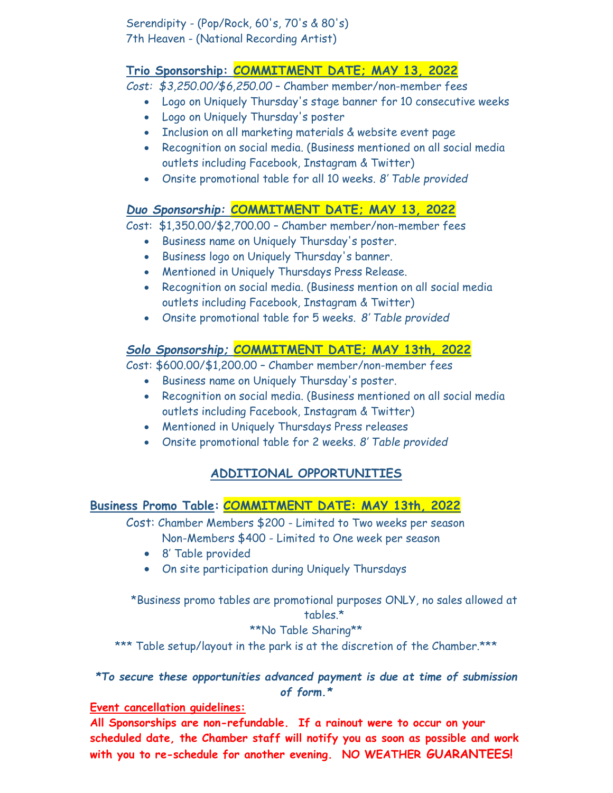Serendipity - (Pop/Rock, 60's, 70's & 80's) 7th Heaven - (National Recording Artist)

# Trio Sponsorship: COMMITMENT DATE; MAY 13, 2022

Cost: \$3,250.00/\$6,250.00 – Chamber member/non-member fees

- Logo on Uniquely Thursday's stage banner for 10 consecutive weeks
- Logo on Uniquely Thursday's poster
- Inclusion on all marketing materials & website event page
- Recognition on social media. (Business mentioned on all social media outlets including Facebook, Instagram & Twitter)
- Onsite promotional table for all 10 weeks. 8' Table provided

# Duo Sponsorship: COMMITMENT DATE; MAY 13, 2022

Cost: \$1,350.00/\$2,700.00 – Chamber member/non-member fees

- Business name on Uniquely Thursday's poster.
- Business logo on Uniquely Thursday's banner.
- Mentioned in Uniquely Thursdays Press Release.
- Recognition on social media. (Business mention on all social media outlets including Facebook, Instagram & Twitter)
- Onsite promotional table for 5 weeks. 8' Table provided

# Solo Sponsorship; COMMITMENT DATE; MAY 13th, 2022

Cost: \$600.00/\$1,200.00 – Chamber member/non-member fees

- Business name on Uniquely Thursday's poster.
- Recognition on social media. (Business mentioned on all social media outlets including Facebook, Instagram & Twitter)
- Mentioned in Uniquely Thursdays Press releases
- Onsite promotional table for 2 weeks. 8' Table provided

# ADDITIONAL OPPORTUNITIES

# Business Promo Table: COMMITMENT DATE: MAY 13th, 2022

 Cost: Chamber Members \$200 - Limited to Two weeks per season Non-Members \$400 - Limited to One week per season

- 8' Table provided
- On site participation during Uniquely Thursdays

\*Business promo tables are promotional purposes ONLY, no sales allowed at tables.\*

## \*\*No Table Sharing\*\*

\*\*\* Table setup/layout in the park is at the discretion of the Chamber.\*\*\*

\*To secure these opportunities advanced payment is due at time of submission of form.\*

## Event cancellation guidelines:

All Sponsorships are non-refundable. If a rainout were to occur on your scheduled date, the Chamber staff will notify you as soon as possible and work with you to re-schedule for another evening. NO WEATHER GUARANTEES!